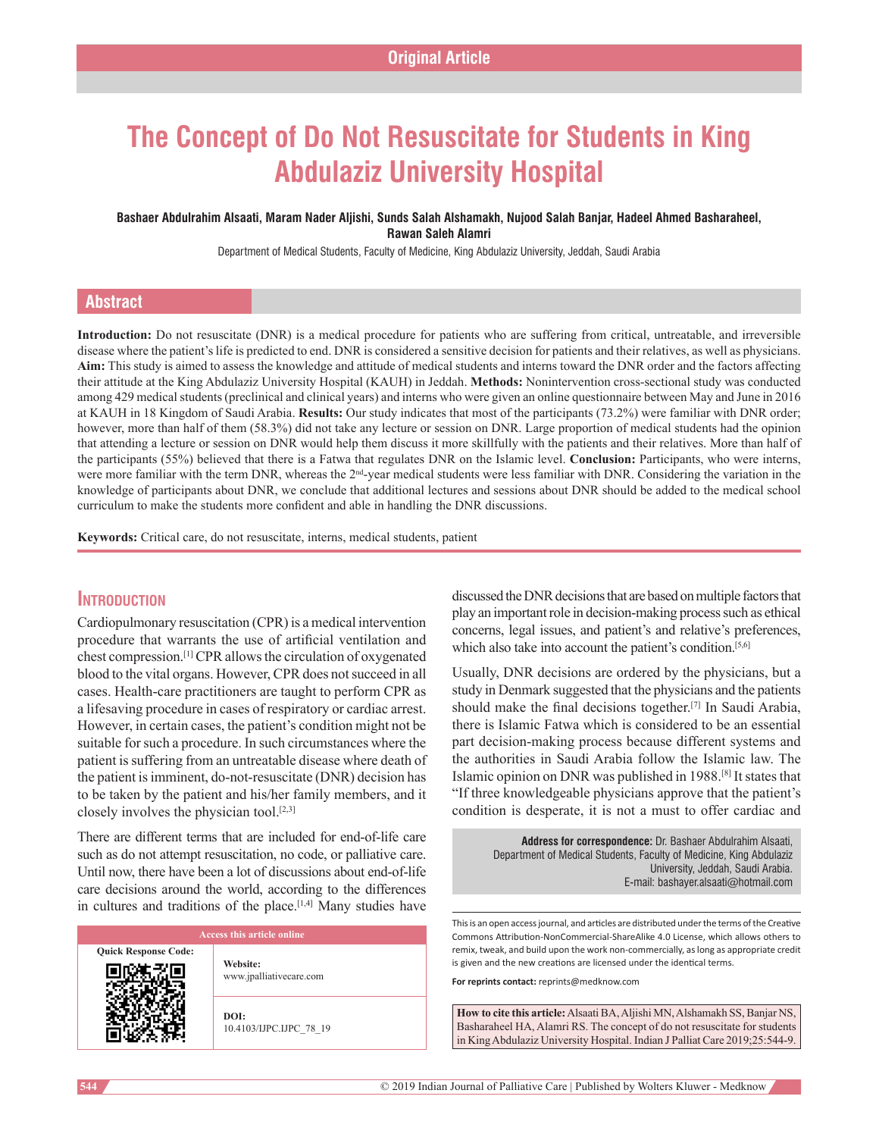# **The Concept of Do Not Resuscitate for Students in King Abdulaziz University Hospital**

#### **Bashaer Abdulrahim Alsaati, Maram Nader Aljishi, Sunds Salah Alshamakh, Nujood Salah Banjar, Hadeel Ahmed Basharaheel, Rawan Saleh Alamri**

Department of Medical Students, Faculty of Medicine, King Abdulaziz University, Jeddah, Saudi Arabia

## **Abstract**

**Introduction:** Do not resuscitate (DNR) is a medical procedure for patients who are suffering from critical, untreatable, and irreversible disease where the patient's life is predicted to end. DNR is considered a sensitive decision for patients and their relatives, as well as physicians. **Aim:** This study is aimed to assess the knowledge and attitude of medical students and interns toward the DNR order and the factors affecting their attitude at the King Abdulaziz University Hospital (KAUH) in Jeddah. **Methods:** Nonintervention cross-sectional study was conducted among 429 medical students (preclinical and clinical years) and interns who were given an online questionnaire between May and June in 2016 at KAUH in 18 Kingdom of Saudi Arabia. **Results:** Our study indicates that most of the participants (73.2%) were familiar with DNR order; however, more than half of them (58.3%) did not take any lecture or session on DNR. Large proportion of medical students had the opinion that attending a lecture or session on DNR would help them discuss it more skillfully with the patients and their relatives. More than half of the participants (55%) believed that there is a Fatwa that regulates DNR on the Islamic level. **Conclusion:** Participants, who were interns, were more familiar with the term DNR, whereas the 2<sup>nd</sup>-year medical students were less familiar with DNR. Considering the variation in the knowledge of participants about DNR, we conclude that additional lectures and sessions about DNR should be added to the medical school curriculum to make the students more confident and able in handling the DNR discussions.

**Keywords:** Critical care, do not resuscitate, interns, medical students, patient

## **Introduction**

Cardiopulmonary resuscitation (CPR) is a medical intervention procedure that warrants the use of artificial ventilation and chest compression.[1] CPR allows the circulation of oxygenated blood to the vital organs. However, CPR does not succeed in all cases. Health‑care practitioners are taught to perform CPR as a lifesaving procedure in cases of respiratory or cardiac arrest. However, in certain cases, the patient's condition might not be suitable for such a procedure. In such circumstances where the patient is suffering from an untreatable disease where death of the patient is imminent, do-not-resuscitate (DNR) decision has to be taken by the patient and his/her family members, and it closely involves the physician tool. $[2,3]$ 

There are different terms that are included for end-of-life care such as do not attempt resuscitation, no code, or palliative care. Until now, there have been a lot of discussions about end-of-life care decisions around the world, according to the differences in cultures and traditions of the place.<sup>[1,4]</sup> Many studies have

| Access this article online  |                                     |  |
|-----------------------------|-------------------------------------|--|
| <b>Quick Response Code:</b> | Website:<br>www.jpalliativecare.com |  |
|                             | DOI:<br>10.4103/IJPC.IJPC 78 19     |  |

discussed the DNR decisions that are based on multiple factors that play an important role in decision‑making process such as ethical concerns, legal issues, and patient's and relative's preferences, which also take into account the patient's condition.<sup>[5,6]</sup>

Usually, DNR decisions are ordered by the physicians, but a study in Denmark suggested that the physicians and the patients should make the final decisions together.[7] In Saudi Arabia, there is Islamic Fatwa which is considered to be an essential part decision-making process because different systems and the authorities in Saudi Arabia follow the Islamic law. The Islamic opinion on DNR was published in 1988.[8] It states that "If three knowledgeable physicians approve that the patient's condition is desperate, it is not a must to offer cardiac and

> **Address for correspondence:** Dr. Bashaer Abdulrahim Alsaati, Department of Medical Students, Faculty of Medicine, King Abdulaziz University, Jeddah, Saudi Arabia. E‑mail: bashayer.alsaati@hotmail.com

This is an open access journal, and articles are distributed under the terms of the Creative Commons Attribution‑NonCommercial‑ShareAlike 4.0 License, which allows others to remix, tweak, and build upon the work non‑commercially, as long as appropriate credit is given and the new creations are licensed under the identical terms.

**For reprints contact:** reprints@medknow.com

**How to cite this article:** Alsaati BA, Aljishi MN, Alshamakh SS, Banjar NS, Basharaheel HA, Alamri RS. The concept of do not resuscitate for students in King Abdulaziz University Hospital. Indian J Palliat Care 2019;25:544-9.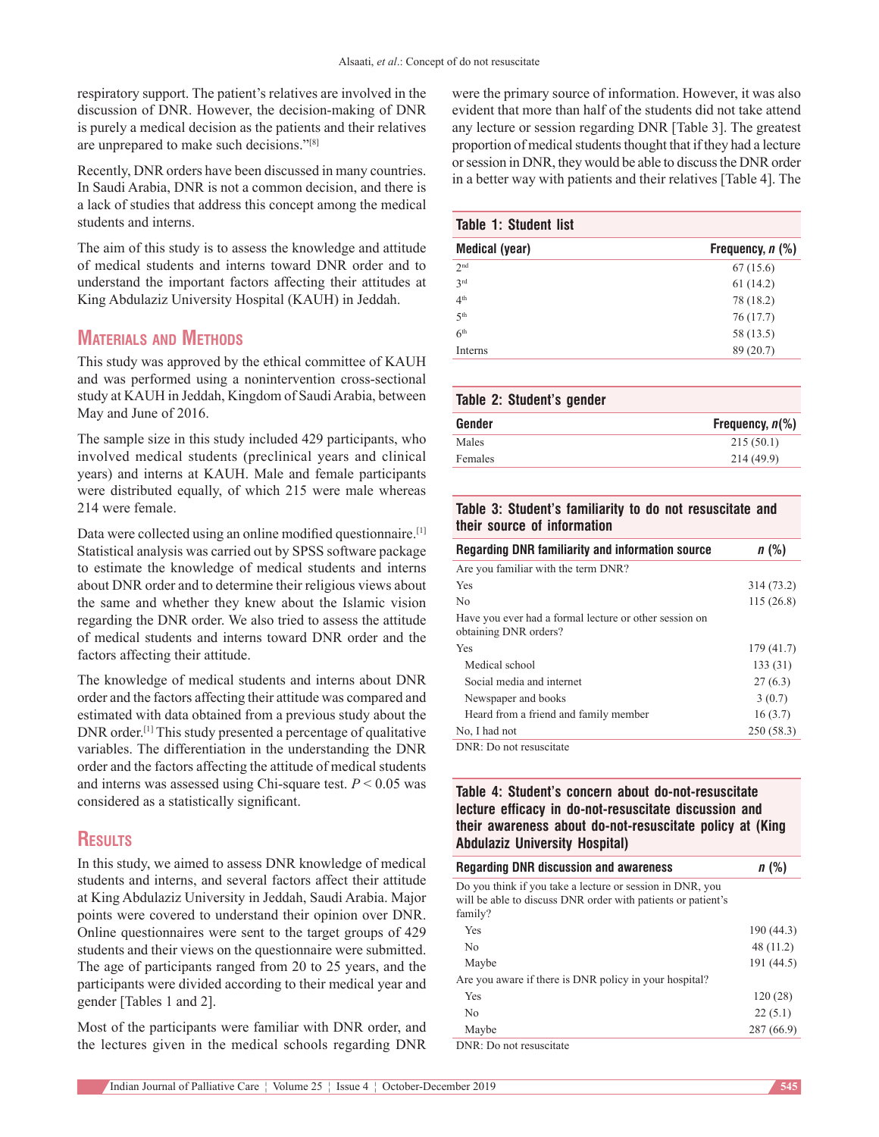respiratory support. The patient's relatives are involved in the discussion of DNR. However, the decision-making of DNR is purely a medical decision as the patients and their relatives are unprepared to make such decisions."[8]

Recently, DNR orders have been discussed in many countries. In Saudi Arabia, DNR is not a common decision, and there is a lack of studies that address this concept among the medical students and interns.

The aim of this study is to assess the knowledge and attitude of medical students and interns toward DNR order and to understand the important factors affecting their attitudes at King Abdulaziz University Hospital (KAUH) in Jeddah.

# **Materials and Methods**

This study was approved by the ethical committee of KAUH and was performed using a nonintervention cross‑sectional study at KAUH in Jeddah, Kingdom of Saudi Arabia, between May and June of 2016.

The sample size in this study included 429 participants, who involved medical students (preclinical years and clinical years) and interns at KAUH. Male and female participants were distributed equally, of which 215 were male whereas 214 were female.

Data were collected using an online modified questionnaire.<sup>[1]</sup> Statistical analysis was carried out by SPSS software package to estimate the knowledge of medical students and interns about DNR order and to determine their religious views about the same and whether they knew about the Islamic vision regarding the DNR order. We also tried to assess the attitude of medical students and interns toward DNR order and the factors affecting their attitude.

The knowledge of medical students and interns about DNR order and the factors affecting their attitude was compared and estimated with data obtained from a previous study about the DNR order.[1] This study presented a percentage of qualitative variables. The differentiation in the understanding the DNR order and the factors affecting the attitude of medical students and interns was assessed using Chi-square test.  $P \le 0.05$  was considered as a statistically significant.

# **Results**

In this study, we aimed to assess DNR knowledge of medical students and interns, and several factors affect their attitude at King Abdulaziz University in Jeddah, Saudi Arabia. Major points were covered to understand their opinion over DNR. Online questionnaires were sent to the target groups of 429 students and their views on the questionnaire were submitted. The age of participants ranged from 20 to 25 years, and the participants were divided according to their medical year and gender [Tables 1 and 2].

Most of the participants were familiar with DNR order, and the lectures given in the medical schools regarding DNR were the primary source of information. However, it was also evident that more than half of the students did not take attend any lecture or session regarding DNR [Table 3]. The greatest proportion of medical students thought that if they had a lecture or session in DNR, they would be able to discuss the DNR order in a better way with patients and their relatives [Table 4]. The

## **Table 1: Student list**

| <b>Medical (year)</b> | Frequency, $n$ $(\%)$ |
|-----------------------|-----------------------|
| 2 <sub>nd</sub>       | 67(15.6)              |
| 2rd                   | 61(14.2)              |
| 4 <sup>th</sup>       | 78 (18.2)             |
| 5 <sup>th</sup>       | 76(17.7)              |
| 6 <sup>th</sup>       | 58 (13.5)             |
| Interns               | 89 (20.7)             |

| Table 2: Student's gender |                    |  |  |
|---------------------------|--------------------|--|--|
| Gender                    | Frequency, $n\%$ ) |  |  |
| Males                     | 215(50.1)          |  |  |
| Females                   | 214(49.9)          |  |  |

## **Table 3: Student's familiarity to do not resuscitate and their source of information**

| Regarding DNR familiarity and information source                                | $n$ (%)    |
|---------------------------------------------------------------------------------|------------|
| Are you familiar with the term DNR?                                             |            |
| Yes                                                                             | 314 (73.2) |
| N <sub>0</sub>                                                                  | 115(26.8)  |
| Have you ever had a formal lecture or other session on<br>obtaining DNR orders? |            |
| Yes                                                                             | 179(41.7)  |
| Medical school                                                                  | 133(31)    |
| Social media and internet                                                       | 27(6.3)    |
| Newspaper and books                                                             | 3(0.7)     |
| Heard from a friend and family member                                           | 16(3.7)    |
| No, I had not                                                                   | 250 (58.3) |
| DNR: Do not resuscitate                                                         |            |

## **Table 4: Student's concern about do‑not‑resuscitate lecture efficacy in do‑not‑resuscitate discussion and their awareness about do‑not‑resuscitate policy at (King Abdulaziz University Hospital)**

| <b>Regarding DNR discussion and awareness</b>                                                                                        | $n$ (%)    |
|--------------------------------------------------------------------------------------------------------------------------------------|------------|
| Do you think if you take a lecture or session in DNR, you<br>will be able to discuss DNR order with patients or patient's<br>family? |            |
| Yes                                                                                                                                  | 190(44.3)  |
| N <sub>0</sub>                                                                                                                       | 48(11.2)   |
| Maybe                                                                                                                                | 191 (44.5) |
| Are you aware if there is DNR policy in your hospital?                                                                               |            |
| Yes                                                                                                                                  | 120(28)    |
| N <sub>0</sub>                                                                                                                       | 22(5.1)    |
| Maybe                                                                                                                                | 287 (66.9) |
|                                                                                                                                      |            |

DNR: Do not resuscitate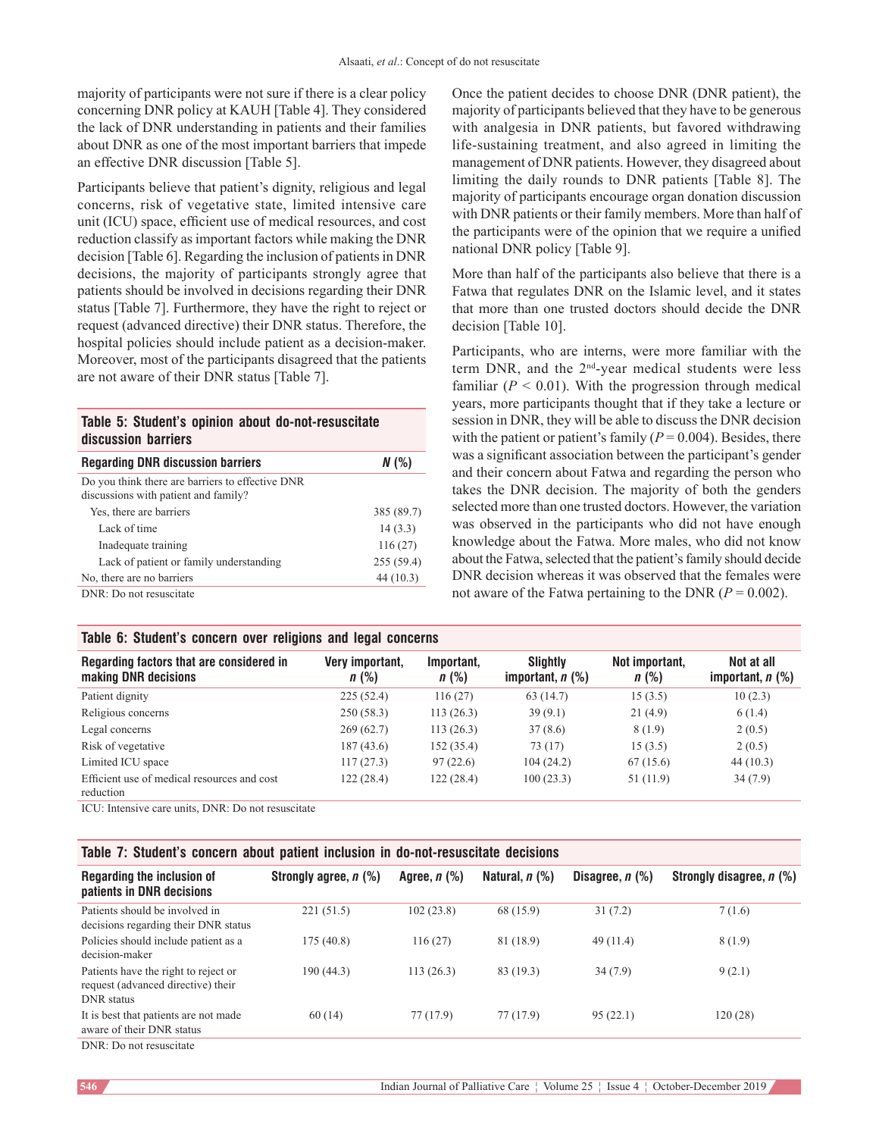majority of participants were not sure if there is a clear policy concerning DNR policy at KAUH [Table 4]. They considered the lack of DNR understanding in patients and their families about DNR as one of the most important barriers that impede an effective DNR discussion [Table 5].

Participants believe that patient's dignity, religious and legal concerns, risk of vegetative state, limited intensive care unit (ICU) space, efficient use of medical resources, and cost reduction classify as important factors while making the DNR decision [Table 6]. Regarding the inclusion of patients in DNR decisions, the majority of participants strongly agree that patients should be involved in decisions regarding their DNR status [Table 7]. Furthermore, they have the right to reject or request (advanced directive) their DNR status. Therefore, the hospital policies should include patient as a decision-maker. Moreover, most of the participants disagreed that the patients are not aware of their DNR status [Table 7].

#### **Table 5: Student's opinion about do‑not‑resuscitate discussion barriers**

| <b>Regarding DNR discussion barriers</b>                                                 | N(%)       |
|------------------------------------------------------------------------------------------|------------|
| Do you think there are barriers to effective DNR<br>discussions with patient and family? |            |
| Yes, there are barriers                                                                  | 385 (89.7) |
| Lack of time                                                                             | 14(3.3)    |
| Inadequate training                                                                      | 116(27)    |
| Lack of patient or family understanding                                                  | 255(59.4)  |
| No, there are no barriers                                                                | 44(10.3)   |
| DNR: Do not resuscitate                                                                  |            |

## **Table 6: Student's concern over religions and legal concerns**

Once the patient decides to choose DNR (DNR patient), the majority of participants believed that they have to be generous with analgesia in DNR patients, but favored withdrawing life‑sustaining treatment, and also agreed in limiting the management of DNR patients. However, they disagreed about limiting the daily rounds to DNR patients [Table 8]. The majority of participants encourage organ donation discussion with DNR patients or their family members. More than half of the participants were of the opinion that we require a unified national DNR policy [Table 9].

More than half of the participants also believe that there is a Fatwa that regulates DNR on the Islamic level, and it states that more than one trusted doctors should decide the DNR decision [Table 10].

Participants, who are interns, were more familiar with the term DNR, and the 2<sup>nd</sup>-year medical students were less familiar  $(P < 0.01)$ . With the progression through medical years, more participants thought that if they take a lecture or session in DNR, they will be able to discuss the DNR decision with the patient or patient's family  $(P = 0.004)$ . Besides, there was a significant association between the participant's gender and their concern about Fatwa and regarding the person who takes the DNR decision. The majority of both the genders selected more than one trusted doctors. However, the variation was observed in the participants who did not have enough knowledge about the Fatwa. More males, who did not know about the Fatwa, selected that the patient's family should decide DNR decision whereas it was observed that the females were not aware of the Fatwa pertaining to the DNR  $(P = 0.002)$ .

| <u>rabic 0. Student S concern over rengions and legal concerns</u> |                       |                                |                           |                                  |  |  |
|--------------------------------------------------------------------|-----------------------|--------------------------------|---------------------------|----------------------------------|--|--|
| Very important,<br>$n$ (%)                                         | Important,<br>$n$ (%) | Slightly<br>important, $n$ (%) | Not important.<br>$n$ (%) | Not at all<br>important, $n$ $%$ |  |  |
| 225(52.4)                                                          | 116(27)               | 63(14.7)                       | 15(3.5)                   | 10(2.3)                          |  |  |
| 250(58.3)                                                          | 113(26.3)             | 39(9.1)                        | 21(4.9)                   | 6(1.4)                           |  |  |
| 269(62.7)                                                          | 113(26.3)             | 37(8.6)                        | 8(1.9)                    | 2(0.5)                           |  |  |
| 187 (43.6)                                                         | 152(35.4)             | 73 (17)                        | 15(3.5)                   | 2(0.5)                           |  |  |
| 117(27.3)                                                          | 97(22.6)              | 104 (24.2)                     | 67(15.6)                  | 44(10.3)                         |  |  |
| 122 (28.4)                                                         | 122(28.4)             | 100(23.3)                      | 51 (11.9)                 | 34(7.9)                          |  |  |
|                                                                    |                       |                                |                           |                                  |  |  |

ICU: Intensive care units, DNR: Do not resuscitate

## **Table 7: Student's concern about patient inclusion in do‑not‑resuscitate decisions**

| Regarding the inclusion of<br>patients in DNR decisions                                         | Strongly agree, n (%) | Agree, $n$ $\left(\% \right)$ | Natural, $n$ (%) | Disagree, $n$ $%$ ) | Strongly disagree, n (%) |
|-------------------------------------------------------------------------------------------------|-----------------------|-------------------------------|------------------|---------------------|--------------------------|
| Patients should be involved in<br>decisions regarding their DNR status                          | 221(51.5)             | 102(23.8)                     | 68 (15.9)        | 31(7.2)             | 7(1.6)                   |
| Policies should include patient as a<br>decision-maker                                          | 175(40.8)             | 116(27)                       | 81 (18.9)        | 49(11.4)            | 8(1.9)                   |
| Patients have the right to reject or<br>request (advanced directive) their<br><b>DNR</b> status | 190(44.3)             | 113(26.3)                     | 83 (19.3)        | 34(7.9)             | 9(2.1)                   |
| It is best that patients are not made<br>aware of their DNR status                              | 60(14)                | 77 (17.9)                     | 77 (17.9)        | 95(22.1)            | 120(28)                  |
| DNR: Do not resuscitate                                                                         |                       |                               |                  |                     |                          |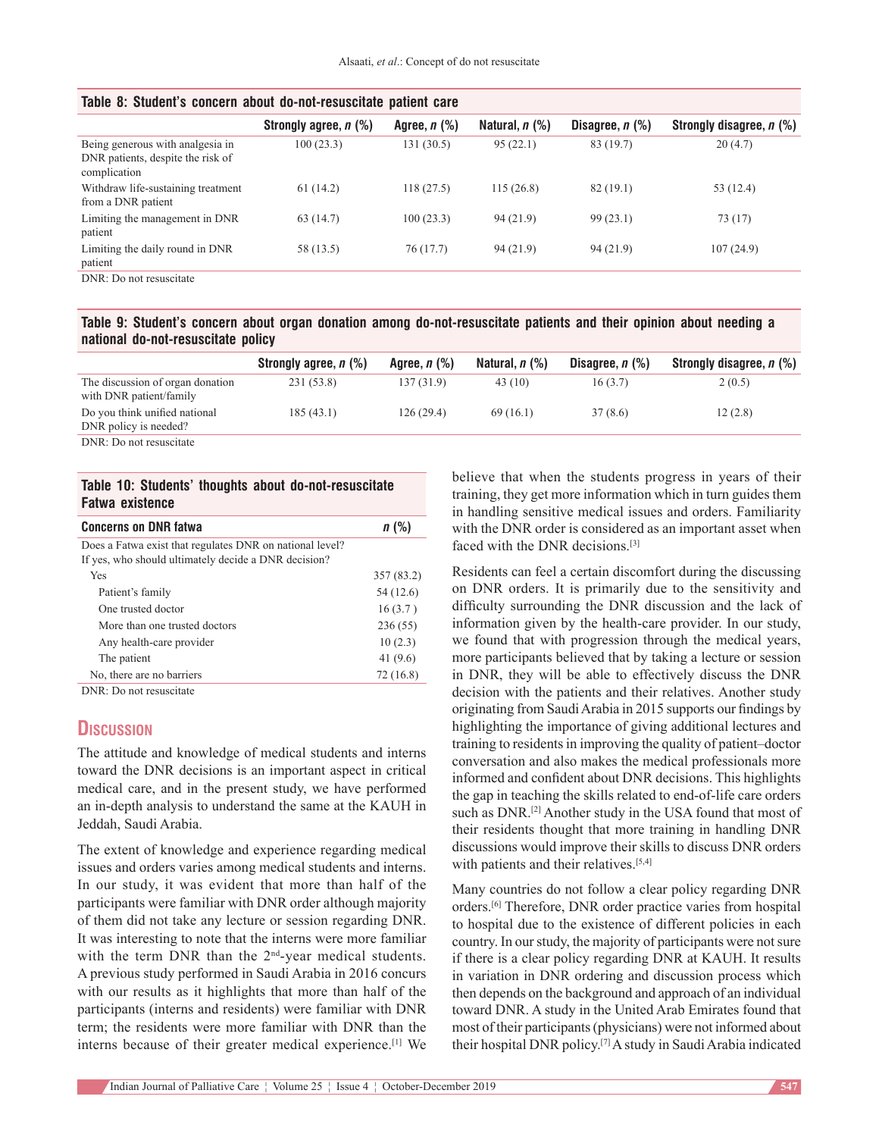| Table 8: Student's concern about do-not-resuscitate patient care                      |                       |                   |                     |                      |                          |  |
|---------------------------------------------------------------------------------------|-----------------------|-------------------|---------------------|----------------------|--------------------------|--|
|                                                                                       | Strongly agree, n (%) | Agree, $n$ $(\%)$ | Natural, $n$ $(\%)$ | Disagree, $n$ $(\%)$ | Strongly disagree, n (%) |  |
| Being generous with analgesia in<br>DNR patients, despite the risk of<br>complication | 100(23.3)             | 131 (30.5)        | 95(22.1)            | 83 (19.7)            | 20(4.7)                  |  |
| Withdraw life-sustaining treatment<br>from a DNR patient                              | 61(14.2)              | 118(27.5)         | 115(26.8)           | 82(19.1)             | 53 (12.4)                |  |
| Limiting the management in DNR<br>patient                                             | 63(14.7)              | 100(23.3)         | 94(21.9)            | 99(23.1)             | 73 (17)                  |  |
| Limiting the daily round in DNR<br>patient                                            | 58 (13.5)             | 76(17.7)          | 94 (21.9)           | 94 (21.9)            | 107(24.9)                |  |
| DNR: Do not resuscitate                                                               |                       |                   |                     |                      |                          |  |

## **Table 8: Student's concern about do‑not‑resuscitate patient care**

**Table 9: Student's concern about organ donation among do‑not‑resuscitate patients and their opinion about needing a national do‑not‑resuscitate policy**

|                                                             | Strongly agree, n (%) | Agree, <i>n</i> (%) | Natural, $n$ (%) | Disagree, $n$ $%$ ) | Strongly disagree, n (%) |
|-------------------------------------------------------------|-----------------------|---------------------|------------------|---------------------|--------------------------|
| The discussion of organ donation<br>with DNR patient/family | 231 (53.8)            | 137(31.9)           | 43 (10)          | 16(3.7)             | 2(0.5)                   |
| Do you think unified national<br>DNR policy is needed?      | 185(43.1)             | 126(29.4)           | 69(16.1)         | 37(8.6)             | 12(2.8)                  |
| DNR: Do not resuscitate                                     |                       |                     |                  |                     |                          |

#### **Table 10: Students' thoughts about do‑not‑resuscitate Fatwa existence**

| <b>Concerns on DNR fatwa</b>                                                                                     | n(%)       |
|------------------------------------------------------------------------------------------------------------------|------------|
| Does a Fatwa exist that regulates DNR on national level?<br>If yes, who should ultimately decide a DNR decision? |            |
| Yes                                                                                                              | 357 (83.2) |
| Patient's family                                                                                                 | 54 (12.6)  |
| One trusted doctor                                                                                               | 16(3.7)    |
| More than one trusted doctors                                                                                    | 236(55)    |
| Any health-care provider                                                                                         | 10(2.3)    |
| The patient                                                                                                      | 41 $(9.6)$ |
| No, there are no barriers                                                                                        | 72 (16.8)  |
| $DMD, D = 1, 1, 2, 3, 4, 5, 6, 6, 7$                                                                             |            |

DNR: Do not resuscitate

# **Discussion**

The attitude and knowledge of medical students and interns toward the DNR decisions is an important aspect in critical medical care, and in the present study, we have performed an in‑depth analysis to understand the same at the KAUH in Jeddah, Saudi Arabia.

The extent of knowledge and experience regarding medical issues and orders varies among medical students and interns. In our study, it was evident that more than half of the participants were familiar with DNR order although majority of them did not take any lecture or session regarding DNR. It was interesting to note that the interns were more familiar with the term DNR than the 2<sup>nd</sup>-year medical students. A previous study performed in Saudi Arabia in 2016 concurs with our results as it highlights that more than half of the participants (interns and residents) were familiar with DNR term; the residents were more familiar with DNR than the interns because of their greater medical experience.[1] We believe that when the students progress in years of their training, they get more information which in turn guides them in handling sensitive medical issues and orders. Familiarity with the DNR order is considered as an important asset when faced with the DNR decisions.[3]

Residents can feel a certain discomfort during the discussing on DNR orders. It is primarily due to the sensitivity and difficulty surrounding the DNR discussion and the lack of information given by the health-care provider. In our study, we found that with progression through the medical years, more participants believed that by taking a lecture or session in DNR, they will be able to effectively discuss the DNR decision with the patients and their relatives. Another study originating from Saudi Arabia in 2015 supports our findings by highlighting the importance of giving additional lectures and training to residents in improving the quality of patient–doctor conversation and also makes the medical professionals more informed and confident about DNR decisions. This highlights the gap in teaching the skills related to end‑of‑life care orders such as DNR.<sup>[2]</sup> Another study in the USA found that most of their residents thought that more training in handling DNR discussions would improve their skills to discuss DNR orders with patients and their relatives.<sup>[5,4]</sup>

Many countries do not follow a clear policy regarding DNR orders.[6] Therefore, DNR order practice varies from hospital to hospital due to the existence of different policies in each country. In our study, the majority of participants were not sure if there is a clear policy regarding DNR at KAUH. It results in variation in DNR ordering and discussion process which then depends on the background and approach of an individual toward DNR. A study in the United Arab Emirates found that most of their participants(physicians) were not informed about their hospital DNR policy.[7] A study in Saudi Arabia indicated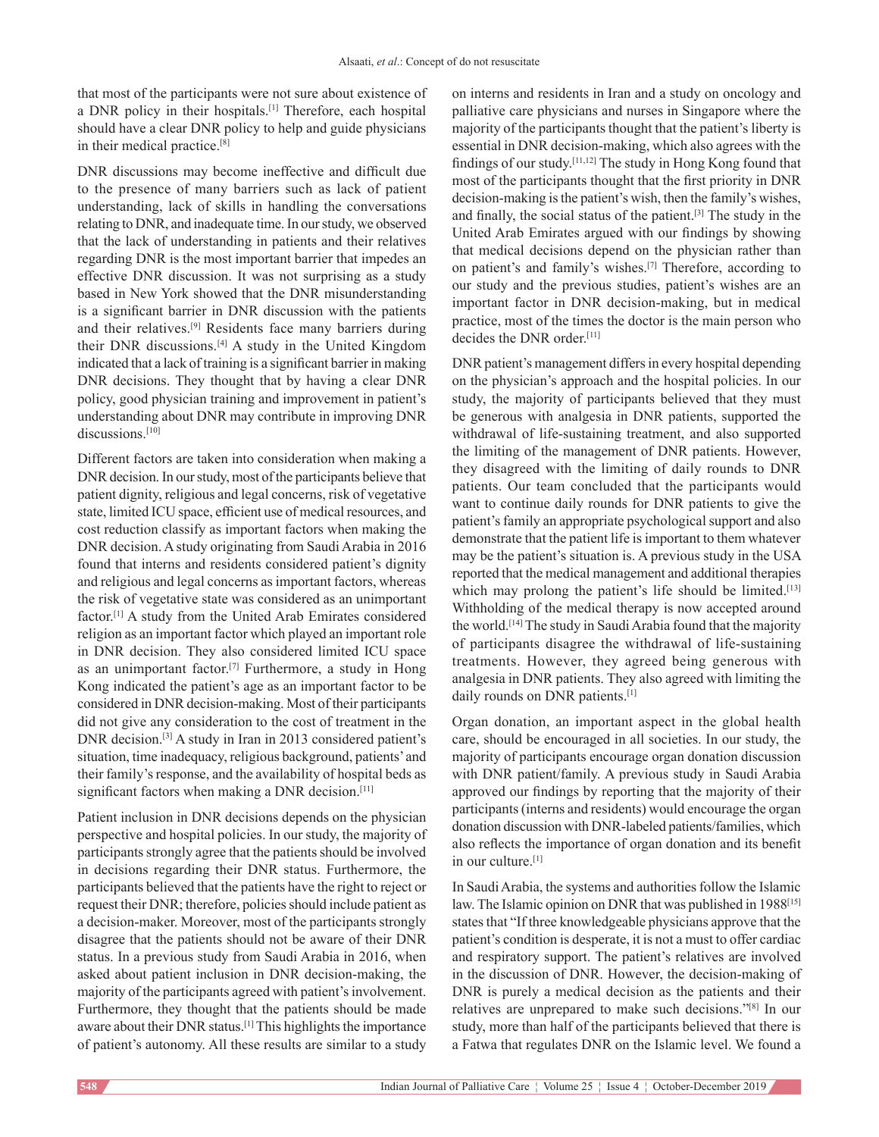that most of the participants were not sure about existence of a DNR policy in their hospitals.[1] Therefore, each hospital should have a clear DNR policy to help and guide physicians in their medical practice.[8]

DNR discussions may become ineffective and difficult due to the presence of many barriers such as lack of patient understanding, lack of skills in handling the conversations relating to DNR, and inadequate time. In our study, we observed that the lack of understanding in patients and their relatives regarding DNR is the most important barrier that impedes an effective DNR discussion. It was not surprising as a study based in New York showed that the DNR misunderstanding is a significant barrier in DNR discussion with the patients and their relatives.[9] Residents face many barriers during their DNR discussions.[4] A study in the United Kingdom indicated that a lack of training is a significant barrier in making DNR decisions. They thought that by having a clear DNR policy, good physician training and improvement in patient's understanding about DNR may contribute in improving DNR discussions.<sup>[10]</sup>

Different factors are taken into consideration when making a DNR decision. In our study, most of the participants believe that patient dignity, religious and legal concerns, risk of vegetative state, limited ICU space, efficient use of medical resources, and cost reduction classify as important factors when making the DNR decision. Astudy originating from Saudi Arabia in 2016 found that interns and residents considered patient's dignity and religious and legal concerns as important factors, whereas the risk of vegetative state was considered as an unimportant factor.[1] A study from the United Arab Emirates considered religion as an important factor which played an important role in DNR decision. They also considered limited ICU space as an unimportant factor.<sup>[7]</sup> Furthermore, a study in Hong Kong indicated the patient's age as an important factor to be considered in DNR decision‑making. Most of their participants did not give any consideration to the cost of treatment in the DNR decision.[3] A study in Iran in 2013 considered patient's situation, time inadequacy, religious background, patients' and their family's response, and the availability of hospital beds as significant factors when making a DNR decision.<sup>[11]</sup>

Patient inclusion in DNR decisions depends on the physician perspective and hospital policies. In our study, the majority of participants strongly agree that the patients should be involved in decisions regarding their DNR status. Furthermore, the participants believed that the patients have the right to reject or request their DNR; therefore, policies should include patient as a decision-maker. Moreover, most of the participants strongly disagree that the patients should not be aware of their DNR status. In a previous study from Saudi Arabia in 2016, when asked about patient inclusion in DNR decision‑making, the majority of the participants agreed with patient's involvement. Furthermore, they thought that the patients should be made aware about their DNR status.[1] This highlights the importance of patient's autonomy. All these results are similar to a study

on interns and residents in Iran and a study on oncology and palliative care physicians and nurses in Singapore where the majority of the participants thought that the patient's liberty is essential in DNR decision‑making, which also agrees with the findings of our study.[11,12] The study in Hong Kong found that most of the participants thought that the first priority in DNR decision-making is the patient's wish, then the family's wishes, and finally, the social status of the patient.[3] The study in the United Arab Emirates argued with our findings by showing that medical decisions depend on the physician rather than on patient's and family's wishes.[7] Therefore, according to our study and the previous studies, patient's wishes are an important factor in DNR decision-making, but in medical practice, most of the times the doctor is the main person who decides the DNR order.[11]

DNR patient's management differs in every hospital depending on the physician's approach and the hospital policies. In our study, the majority of participants believed that they must be generous with analgesia in DNR patients, supported the withdrawal of life-sustaining treatment, and also supported the limiting of the management of DNR patients. However, they disagreed with the limiting of daily rounds to DNR patients. Our team concluded that the participants would want to continue daily rounds for DNR patients to give the patient's family an appropriate psychological support and also demonstrate that the patient life is important to them whatever may be the patient's situation is. A previous study in the USA reported that the medical management and additional therapies which may prolong the patient's life should be limited.<sup>[13]</sup> Withholding of the medical therapy is now accepted around the world.[14] The study in Saudi Arabia found that the majority of participants disagree the withdrawal of life‑sustaining treatments. However, they agreed being generous with analgesia in DNR patients. They also agreed with limiting the daily rounds on DNR patients.<sup>[1]</sup>

Organ donation, an important aspect in the global health care, should be encouraged in all societies. In our study, the majority of participants encourage organ donation discussion with DNR patient/family. A previous study in Saudi Arabia approved our findings by reporting that the majority of their participants(interns and residents) would encourage the organ donation discussion with DNR-labeled patients/families, which also reflects the importance of organ donation and its benefit in our culture.[1]

In Saudi Arabia, the systems and authorities follow the Islamic law. The Islamic opinion on DNR that was published in 1988<sup>[15]</sup> states that "If three knowledgeable physicians approve that the patient's condition is desperate, it is not a must to offer cardiac and respiratory support. The patient's relatives are involved in the discussion of DNR. However, the decision-making of DNR is purely a medical decision as the patients and their relatives are unprepared to make such decisions."[8] In our study, more than half of the participants believed that there is a Fatwa that regulates DNR on the Islamic level. We found a